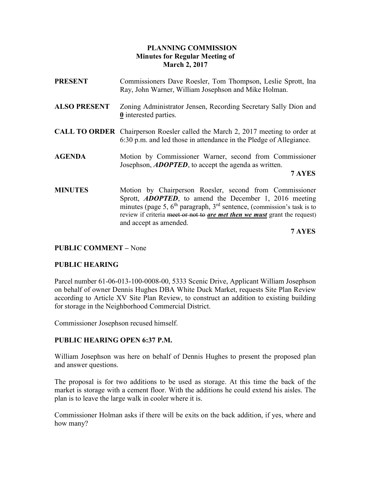# PLANNING COMMISSION Minutes for Regular Meeting of March 2, 2017

- PRESENT Commissioners Dave Roesler, Tom Thompson, Leslie Sprott, Ina Ray, John Warner, William Josephson and Mike Holman.
- ALSO PRESENT Zoning Administrator Jensen, Recording Secretary Sally Dion and 0 interested parties.
- CALL TO ORDER Chairperson Roesler called the March 2, 2017 meeting to order at 6:30 p.m. and led those in attendance in the Pledge of Allegiance.
- AGENDA Motion by Commissioner Warner, second from Commissioner Josephson, **ADOPTED**, to accept the agenda as written.

## 7 AYES

MINUTES Motion by Chairperson Roesler, second from Commissioner Sprott, **ADOPTED**, to amend the December 1, 2016 meeting minutes (page 5,  $6<sup>th</sup>$  paragraph,  $3<sup>rd</sup>$  sentence, (commission's task is to review if criteria meet or not to *are met then we must* grant the request) and accept as amended.

7 AYES

## PUBLIC COMMENT – None

# PUBLIC HEARING

Parcel number 61-06-013-100-0008-00, 5333 Scenic Drive, Applicant William Josephson on behalf of owner Dennis Hughes DBA White Duck Market, requests Site Plan Review according to Article XV Site Plan Review, to construct an addition to existing building for storage in the Neighborhood Commercial District.

Commissioner Josephson recused himself.

# PUBLIC HEARING OPEN 6:37 P.M.

William Josephson was here on behalf of Dennis Hughes to present the proposed plan and answer questions.

The proposal is for two additions to be used as storage. At this time the back of the market is storage with a cement floor. With the additions he could extend his aisles. The plan is to leave the large walk in cooler where it is.

Commissioner Holman asks if there will be exits on the back addition, if yes, where and how many?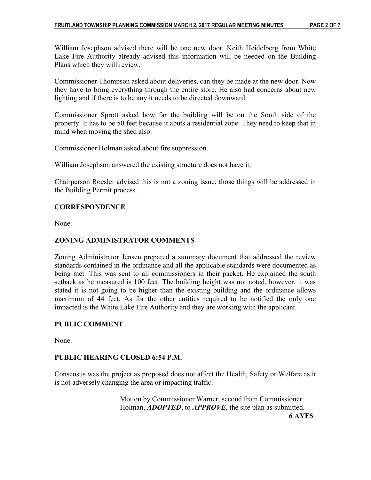William Josephson advised there will be one new door. Keith Heidelberg from White Lake Fire Authority already advised this information will be needed on the Building Plans which they will review.

Commissioner Thompson asked about deliveries, can they be made at the new door. Now they have to bring everything through the entire store. He also had concerns about new lighting and if there is to be any it needs to be directed downward.

Commissioner Sprott asked how far the building will be on the South side of the property. It has to be 50 feet because it abuts a residential zone. They need to keep that in mind when moving the shed also.

Commissioner Holman asked about fire suppression.

William Josephson answered the existing structure does not have it.

Chairperson Roesler advised this is not a zoning issue; those things will be addressed in the Building Permit process.

## **CORRESPONDENCE**

None.

## ZONING ADMINISTRATOR COMMENTS

Zoning Administrator Jensen prepared a summary document that addressed the review standards contained in the ordinance and all the applicable standards were documented as being met. This was sent to all commissioners in their packet. He explained the south setback as he measured is 100 feet. The building height was not noted, however, it was stated it is not going to be higher than the existing building and the ordinance allows maximum of 44 feet. As for the other entities required to be notified the only one impacted is the White Lake Fire Authority and they are working with the applicant.

## PUBLIC COMMENT

None.

## PUBLIC HEARING CLOSED 6:54 P.M.

Consensus was the project as proposed does not affect the Health, Safety or Welfare as it is not adversely changing the area or impacting traffic.

 Motion by Commissioner Warner, second from Commissioner Holman, **ADOPTED**, to **APPROVE**, the site plan as submitted. 6 AYES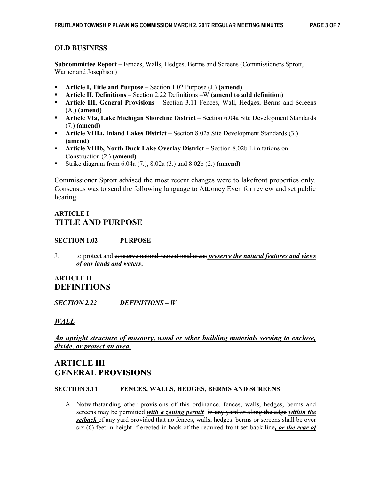## OLD BUSINESS

Subcommittee Report – Fences, Walls, Hedges, Berms and Screens (Commissioners Sprott, Warner and Josephson)

- Article I, Title and Purpose Section 1.02 Purpose  $(J.)$  (amend)
- **•** Article II, Definitions Section 2.22 Definitions –W (amend to add definition)
- **Article III, General Provisions** Section 3.11 Fences, Wall, Hedges, Berms and Screens (A.) (amend)
- Article VIa, Lake Michigan Shoreline District Section 6.04a Site Development Standards (7.) (amend)
- Article VIIIa, Inland Lakes District Section 8.02a Site Development Standards (3.) (amend)
- Article VIIIb, North Duck Lake Overlay District Section 8.02b Limitations on Construction (2.) (amend)
- Strike diagram from  $6.04a(7)$ ,  $8.02a(3)$  and  $8.02b(2)$  (amend)

Commissioner Sprott advised the most recent changes were to lakefront properties only. Consensus was to send the following language to Attorney Even for review and set public hearing.

# ARTICLE I TITLE AND PURPOSE

## SECTION 1.02 PURPOSE

J. to protect and conserve natural recreational areas *preserve the natural features and views* of our lands and waters;

# ARTICLE II DEFINITIONS

SECTION 2.22 DEFINITIONS – W

# WALL

An upright structure of masonry, wood or other building materials serving to enclose, divide, or protect an area.

# ARTICLE III GENERAL PROVISIONS

### SECTION 3.11 FENCES, WALLS, HEDGES, BERMS AND SCREENS

A. Notwithstanding other provisions of this ordinance, fences, walls, hedges, berms and screens may be permitted with a zoning permit in any yard or along the edge within the setback of any yard provided that no fences, walls, hedges, berms or screens shall be over six  $(6)$  feet in height if erected in back of the required front set back line, or the rear of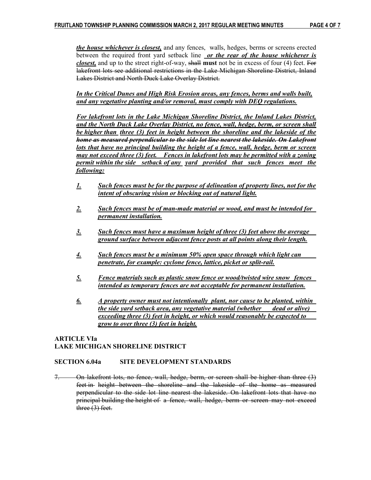the house whichever is closest, and any fences, walls, hedges, berms or screens erected between the required front yard setback line or the rear of the house whichever is closest, and up to the street right-of-way, shall must not be in excess of four (4) feet. For lakefront lots see additional restrictions in the Lake Michigan Shoreline District, Inland Lakes District and North Duck Lake Overlay District.

In the Critical Dunes and High Risk Erosion areas, any fences, berms and walls built, and any vegetative planting and/or removal, must comply with DEQ regulations.

 For lakefront lots in the Lake Michigan Shoreline District, the Inland Lakes District, and the North Duck Lake Overlay District, no fence, wall, hedge, berm, or screen shall be higher than three (3) feet in height between the shoreline and the lakeside of the home as measured perpendicular to the side lot line nearest the lakeside. On Lakefront lots that have no principal building the height of a fence, wall, hedge, berm or screen may not exceed three (3) feet. Fences in lakefront lots may be permitted with a zoning permit within the side setback of any yard provided that such fences meet the following:

- 1. Such fences must be for the purpose of delineation of property lines, not for the intent of obscuring vision or blocking out of natural light.
- 2. Such fences must be of man-made material or wood, and must be intended for permanent installation.
- 3. Such fences must have a maximum height of three (3) feet above the average ground surface between adjacent fence posts at all points along their length.
- 4. Such fences must be a minimum 50% open space through which light can penetrate, for example: cyclone fence, lattice, picket or split-rail.
- 5. Fence materials such as plastic snow fence or wood/twisted wire snow fences intended as temporary fences are not acceptable for permanent installation.
- $6.$  A property owner must not intentionally plant, nor cause to be planted, within the side yard setback area, any vegetative material (whether dead or alive) exceeding three (3) feet in height, or which would reasonably be expected to grow to over three (3) feet in height.

## ARTICLE VIa LAKE MICHIGAN SHORELINE DISTRICT

### SECTION 6.04a SITE DEVELOPMENT STANDARDS

7. On lakefront lots, no fence, wall, hedge, berm, or screen shall be higher than three (3) feet in height between the shoreline and the lakeside of the home as measured perpendicular to the side lot line nearest the lakeside. On lakefront lots that have no principal building the height of a fence, wall, hedge, berm or screen may not exceed three (3) feet.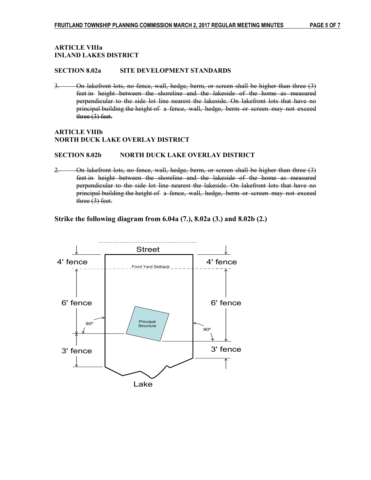#### ARTICLE VIIIa INLAND LAKES DISTRICT

#### SECTION 8.02a SITE DEVELOPMENT STANDARDS

3. On lakefront lots, no fence, wall, hedge, berm, or screen shall be higher than three (3) feet in height between the shoreline and the lakeside of the home as measured perpendicular to the side lot line nearest the lakeside. On lakefront lots that have no principal building the height of a fence, wall, hedge, berm or screen may not exceed three (3) feet.

#### ARTICLE VIIIb NORTH DUCK LAKE OVERLAY DISTRICT

#### SECTION 8.02b NORTH DUCK LAKE OVERLAY DISTRICT

2. On lakefront lots, no fence, wall, hedge, berm, or screen shall be higher than three (3) feet in height between the shoreline and the lakeside of the home as measured perpendicular to the side lot line nearest the lakeside. On lakefront lots that have no principal building the height of a fence, wall, hedge, berm or screen may not exceed three (3) feet.

Strike the following diagram from 6.04a (7.), 8.02a (3.) and 8.02b (2.)

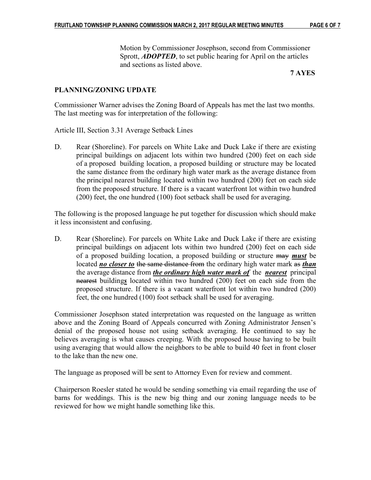Motion by Commissioner Josephson, second from Commissioner Sprott, **ADOPTED**, to set public hearing for April on the articles and sections as listed above.

## 7 AYES

## PLANNING/ZONING UPDATE

Commissioner Warner advises the Zoning Board of Appeals has met the last two months. The last meeting was for interpretation of the following:

Article III, Section 3.31 Average Setback Lines

D. Rear (Shoreline). For parcels on White Lake and Duck Lake if there are existing principal buildings on adjacent lots within two hundred (200) feet on each side of a proposed building location, a proposed building or structure may be located the same distance from the ordinary high water mark as the average distance from the principal nearest building located within two hundred (200) feet on each side from the proposed structure. If there is a vacant waterfront lot within two hundred (200) feet, the one hundred (100) foot setback shall be used for averaging.

The following is the proposed language he put together for discussion which should make it less inconsistent and confusing.

D. Rear (Shoreline). For parcels on White Lake and Duck Lake if there are existing principal buildings on adjacent lots within two hundred (200) feet on each side of a proposed building location, a proposed building or structure may must be located no closer to the same distance from the ordinary high water mark as than the average distance from *the ordinary high water mark of* the *nearest* principal nearest buildings located within two hundred (200) feet on each side from the proposed structure. If there is a vacant waterfront lot within two hundred (200) feet, the one hundred (100) foot setback shall be used for averaging.

Commissioner Josephson stated interpretation was requested on the language as written above and the Zoning Board of Appeals concurred with Zoning Administrator Jensen's denial of the proposed house not using setback averaging. He continued to say he believes averaging is what causes creeping. With the proposed house having to be built using averaging that would allow the neighbors to be able to build 40 feet in front closer to the lake than the new one.

The language as proposed will be sent to Attorney Even for review and comment.

Chairperson Roesler stated he would be sending something via email regarding the use of barns for weddings. This is the new big thing and our zoning language needs to be reviewed for how we might handle something like this.